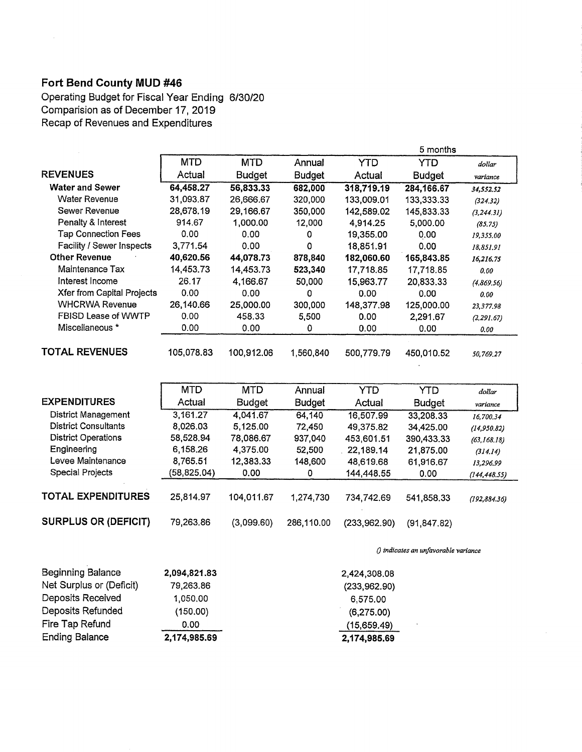## Fort Bend County MUD #46

 $\sim$ 

District Operations Engineering Levee Maintenance Special Projects

TOTAL EXPENDITURES

Operating Budget for Fiscal Year Ending 6/30/20 Comparision as of December 17, 2019 Recap of Revenues and Expenditures

|                                   |            |               |               |            | 5 months      |             |
|-----------------------------------|------------|---------------|---------------|------------|---------------|-------------|
|                                   | <b>MTD</b> | <b>MTD</b>    | Annual        | <b>YTD</b> | <b>YTD</b>    | dollar      |
| <b>REVENUES</b>                   | Actual     | <b>Budget</b> | <b>Budget</b> | Actual     | <b>Budget</b> | variance    |
| <b>Water and Sewer</b>            | 64,458.27  | 56,833.33     | 682,000       | 318,719.19 | 284,166.67    | 34,552.52   |
| <b>Water Revenue</b>              | 31,093.87  | 26,666.67     | 320,000       | 133,009.01 | 133,333.33    | (324.32)    |
| Sewer Revenue                     | 28,678.19  | 29,166.67     | 350,000       | 142,589.02 | 145,833.33    | (3, 244.31) |
| Penalty & Interest                | 914.67     | 1,000.00      | 12,000        | 4,914.25   | 5,000.00      | (85.75)     |
| <b>Tap Connection Fees</b>        | 0.00       | 0.00          | 0             | 19,355.00  | 0.00          | 19,355.00   |
| Facility / Sewer Inspects         | 3,771.54   | 0.00          | $\Omega$      | 18,851.91  | 0.00          | 18,851.91   |
| <b>Other Revenue</b>              | 40,620.56  | 44,078.73     | 878,840       | 182,060.60 | 165,843.85    | 16,216.75   |
| Maintenance Tax                   | 14,453.73  | 14,453.73     | 523,340       | 17,718.85  | 17,718.85     | 0.00        |
| Interest Income                   | 26.17      | 4,166.67      | 50,000        | 15,963.77  | 20,833.33     | (4,869,56)  |
| <b>Xfer from Capital Projects</b> | 0.00       | 0.00          | $\Omega$      | 0.00       | 0.00          | 0.00        |
| <b>WHCRWA Revenue</b>             | 26,140.66  | 25,000.00     | 300,000       | 148,377.98 | 125,000.00    | 23,377.98   |
| FBISD Lease of WWTP               | 0.00       | 458.33        | 5,500         | 0.00       | 2,291.67      | (2, 291.67) |
| Miscellaneous *                   | 0.00       | 0.00          | 0             | 0.00       | 0.00          | 0.00        |
| <b>TOTAL REVENUES</b>             | 105,078.83 | 100,912.06    | 1,560,840     | 500,779.79 | 450,010.52    | 50.769.27   |
|                                   |            |               |               |            |               |             |
|                                   | <b>MTD</b> | <b>MTD</b>    | Annual        | YTD        | <b>YTD</b>    | dollar      |
| <b>EXPENDITURES</b>               | Actual     | <b>Budget</b> | <b>Budget</b> | Actual     | <b>Budget</b> | variance    |
| <b>District Management</b>        | 3,161.27   | 4,041.67      | 64,140        | 16,507.99  | 33,208.33     | 16,700.34   |
| <b>District Consultants</b>       | 8,026.03   | 5,125.00      | 72,450        | 49,375.82  | 34,425.00     | (14,950.82) |

58,528.94 78,086.67 937,040 453,601.51 390,433.33 (63,168.18) 6,158.26 4,375.00 52,500 22,189.14 21,875.00 (314.14) 8,765.51 12,383.33 148,600 48,619.68 67,916.67 13,296.99  $(58,825.04)$  0.00 0 144,448.55 0.00 (144,448.55)

25,814.97 104,011.67 1,274,730 734,742.69 541,858.33 (192,884.36)

Q indicates an unfavorable variance

| <b>Ending Balance</b>    | 2,174,985.69 | 2,174,985.69 |
|--------------------------|--------------|--------------|
| Fire Tap Refund          | 0.00         | (15,659.49)  |
| Deposits Refunded        | (150.00)     | (6,275.00)   |
| Deposits Received        | 1,050,00     | 6,575.00     |
| Net Surplus or (Deficit) | 79,263.86    | (233,962.90) |
| <b>Beginning Balance</b> | 2,094,821.83 | 2,424,308.08 |

SURPLUS OR (DEFICIT) 79,263.86 (3,099.60) 286,110.00 (233,962.90) (91,847.82)